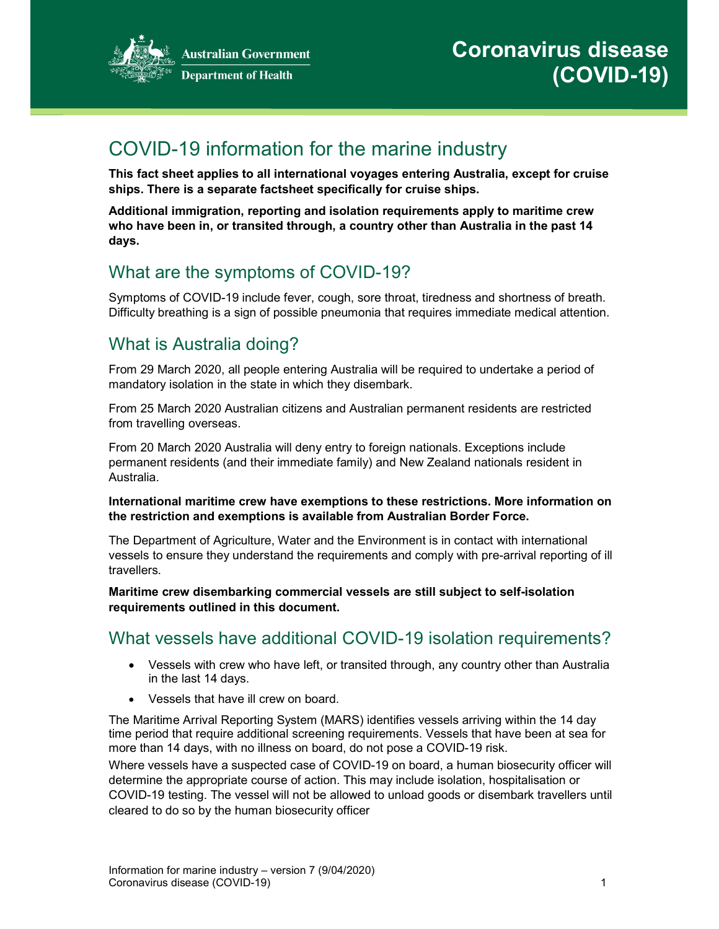

# COVID-19 information for the marine industry

This fact sheet applies to all international voyages entering Australia, except for cruise ships. There is a separate factsheet specifically for cruise ships.

Additional immigration, reporting and isolation requirements apply to maritime crew who have been in, or transited through, a country other than Australia in the past 14 days.

# What are the symptoms of COVID-19?

Symptoms of COVID-19 include fever, cough, sore throat, tiredness and shortness of breath. Difficulty breathing is a sign of possible pneumonia that requires immediate medical attention.

# What is Australia doing?

From 29 March 2020, all people entering Australia will be required to undertake a period of mandatory isolation in the state in which they disembark.

From 25 March 2020 Australian citizens and Australian permanent residents are restricted from travelling overseas.

From 20 March 2020 Australia will deny entry to foreign nationals. Exceptions include permanent residents (and their immediate family) and New Zealand nationals resident in Australia.

#### International maritime crew have exemptions to these restrictions. More information on the restriction and exemptions is available from Australian Border Force.

The Department of Agriculture, Water and the Environment is in contact with international vessels to ensure they understand the requirements and comply with pre-arrival reporting of ill travellers.

Maritime crew disembarking commercial vessels are still subject to self-isolation requirements outlined in this document.

#### What vessels have additional COVID-19 isolation requirements?

- Vessels with crew who have left, or transited through, any country other than Australia in the last 14 days.
- Vessels that have ill crew on board.

The Maritime Arrival Reporting System (MARS) identifies vessels arriving within the 14 day time period that require additional screening requirements. Vessels that have been at sea for more than 14 days, with no illness on board, do not pose a COVID-19 risk.

Where vessels have a suspected case of COVID-19 on board, a human biosecurity officer will determine the appropriate course of action. This may include isolation, hospitalisation or COVID-19 testing. The vessel will not be allowed to unload goods or disembark travellers until cleared to do so by the human biosecurity officer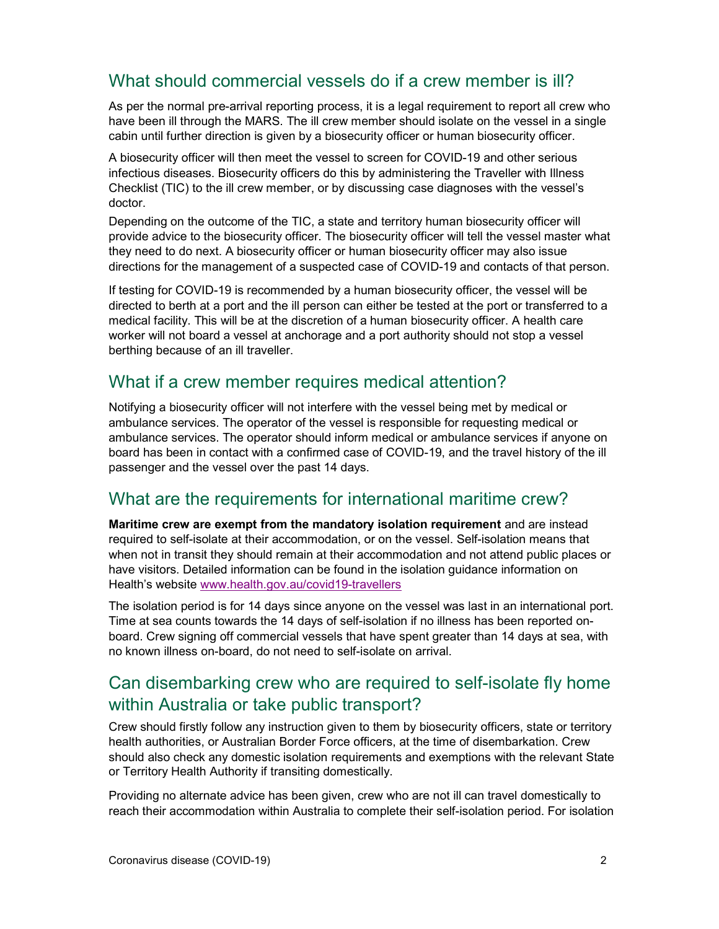### What should commercial vessels do if a crew member is ill?

As per the normal pre-arrival reporting process, it is a legal requirement to report all crew who have been ill through the MARS. The ill crew member should isolate on the vessel in a single cabin until further direction is given by a biosecurity officer or human biosecurity officer.

A biosecurity officer will then meet the vessel to screen for COVID-19 and other serious infectious diseases. Biosecurity officers do this by administering the Traveller with Illness Checklist (TIC) to the ill crew member, or by discussing case diagnoses with the vessel's doctor.

Depending on the outcome of the TIC, a state and territory human biosecurity officer will provide advice to the biosecurity officer. The biosecurity officer will tell the vessel master what they need to do next. A biosecurity officer or human biosecurity officer may also issue directions for the management of a suspected case of COVID-19 and contacts of that person.

If testing for COVID-19 is recommended by a human biosecurity officer, the vessel will be directed to berth at a port and the ill person can either be tested at the port or transferred to a medical facility. This will be at the discretion of a human biosecurity officer. A health care worker will not board a vessel at anchorage and a port authority should not stop a vessel berthing because of an ill traveller.

#### What if a crew member requires medical attention?

Notifying a biosecurity officer will not interfere with the vessel being met by medical or ambulance services. The operator of the vessel is responsible for requesting medical or ambulance services. The operator should inform medical or ambulance services if anyone on board has been in contact with a confirmed case of COVID-19, and the travel history of the ill passenger and the vessel over the past 14 days.

#### What are the requirements for international maritime crew?

Maritime crew are exempt from the mandatory isolation requirement and are instead required to self-isolate at their accommodation, or on the vessel. Self-isolation means that when not in transit they should remain at their accommodation and not attend public places or have visitors. Detailed information can be found in the isolation guidance information on Health's website www.health.gov.au/covid19-travellers

The isolation period is for 14 days since anyone on the vessel was last in an international port. Time at sea counts towards the 14 days of self-isolation if no illness has been reported onboard. Crew signing off commercial vessels that have spent greater than 14 days at sea, with no known illness on-board, do not need to self-isolate on arrival.

### Can disembarking crew who are required to self-isolate fly home within Australia or take public transport?

Crew should firstly follow any instruction given to them by biosecurity officers, state or territory health authorities, or Australian Border Force officers, at the time of disembarkation. Crew should also check any domestic isolation requirements and exemptions with the relevant State or Territory Health Authority if transiting domestically.

Providing no alternate advice has been given, crew who are not ill can travel domestically to reach their accommodation within Australia to complete their self-isolation period. For isolation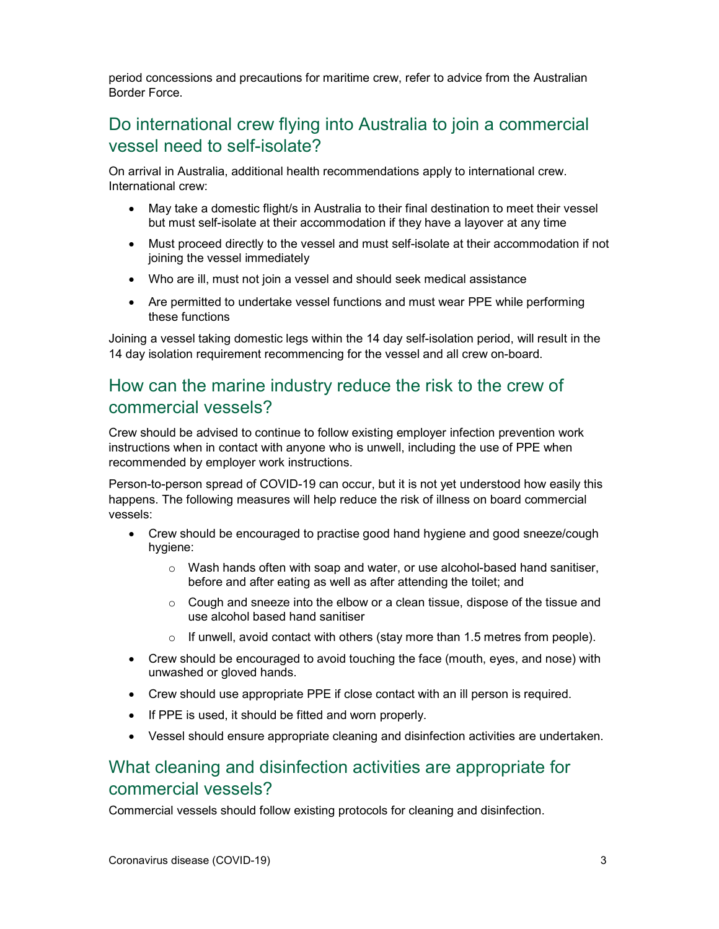period concessions and precautions for maritime crew, refer to advice from the Australian Border Force.

### Do international crew flying into Australia to join a commercial vessel need to self-isolate?

On arrival in Australia, additional health recommendations apply to international crew. International crew:

- May take a domestic flight/s in Australia to their final destination to meet their vessel but must self-isolate at their accommodation if they have a layover at any time
- Must proceed directly to the vessel and must self-isolate at their accommodation if not joining the vessel immediately
- Who are ill, must not join a vessel and should seek medical assistance
- Are permitted to undertake vessel functions and must wear PPE while performing these functions

Joining a vessel taking domestic legs within the 14 day self-isolation period, will result in the 14 day isolation requirement recommencing for the vessel and all crew on-board.

#### How can the marine industry reduce the risk to the crew of commercial vessels?

Crew should be advised to continue to follow existing employer infection prevention work instructions when in contact with anyone who is unwell, including the use of PPE when recommended by employer work instructions.

Person-to-person spread of COVID-19 can occur, but it is not yet understood how easily this happens. The following measures will help reduce the risk of illness on board commercial vessels:

- Crew should be encouraged to practise good hand hygiene and good sneeze/cough hygiene:
	- o Wash hands often with soap and water, or use alcohol-based hand sanitiser, before and after eating as well as after attending the toilet; and
	- $\circ$  Cough and sneeze into the elbow or a clean tissue, dispose of the tissue and use alcohol based hand sanitiser
	- o If unwell, avoid contact with others (stay more than 1.5 metres from people).
- Crew should be encouraged to avoid touching the face (mouth, eyes, and nose) with unwashed or gloved hands.
- Crew should use appropriate PPE if close contact with an ill person is required.
- If PPE is used, it should be fitted and worn properly.
- Vessel should ensure appropriate cleaning and disinfection activities are undertaken.

#### What cleaning and disinfection activities are appropriate for commercial vessels?

Commercial vessels should follow existing protocols for cleaning and disinfection.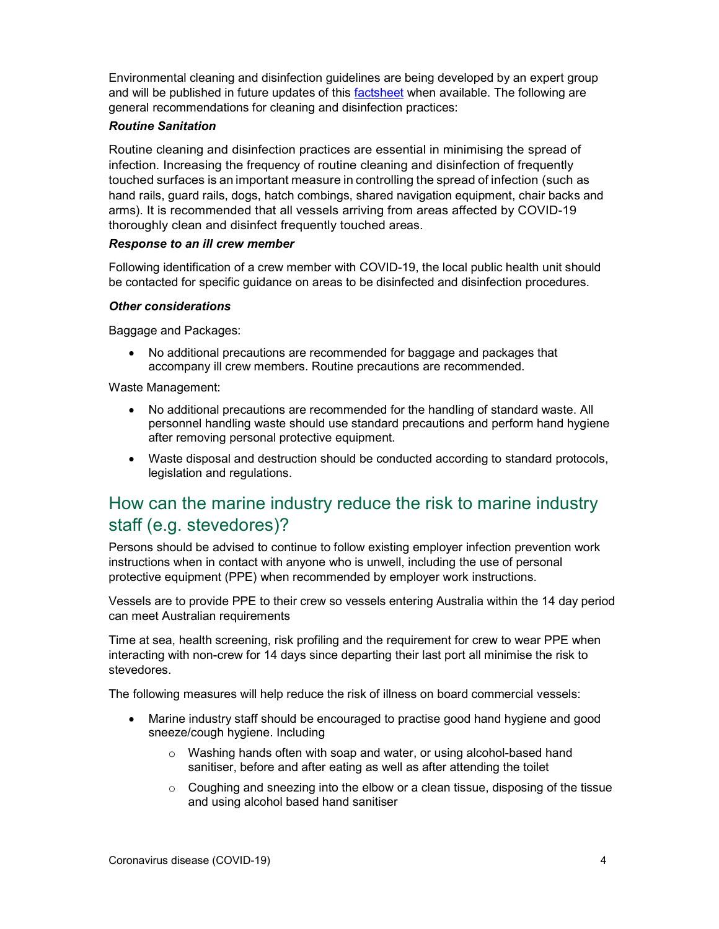Environmental cleaning and disinfection guidelines are being developed by an expert group and will be published in future updates of this factsheet when available. The following are general recommendations for cleaning and disinfection practices:

#### Routine Sanitation

Routine cleaning and disinfection practices are essential in minimising the spread of infection. Increasing the frequency of routine cleaning and disinfection of frequently touched surfaces is an important measure in controlling the spread of infection (such as hand rails, guard rails, dogs, hatch combings, shared navigation equipment, chair backs and arms). It is recommended that all vessels arriving from areas affected by COVID-19 thoroughly clean and disinfect frequently touched areas.

#### Response to an ill crew member

Following identification of a crew member with COVID-19, the local public health unit should be contacted for specific guidance on areas to be disinfected and disinfection procedures.

#### Other considerations

Baggage and Packages:

 No additional precautions are recommended for baggage and packages that accompany ill crew members. Routine precautions are recommended.

Waste Management:

- No additional precautions are recommended for the handling of standard waste. All personnel handling waste should use standard precautions and perform hand hygiene after removing personal protective equipment.
- Waste disposal and destruction should be conducted according to standard protocols, legislation and regulations.

#### How can the marine industry reduce the risk to marine industry staff (e.g. stevedores)?

Persons should be advised to continue to follow existing employer infection prevention work instructions when in contact with anyone who is unwell, including the use of personal protective equipment (PPE) when recommended by employer work instructions.

Vessels are to provide PPE to their crew so vessels entering Australia within the 14 day period can meet Australian requirements

Time at sea, health screening, risk profiling and the requirement for crew to wear PPE when interacting with non-crew for 14 days since departing their last port all minimise the risk to stevedores.

The following measures will help reduce the risk of illness on board commercial vessels:

- Marine industry staff should be encouraged to practise good hand hygiene and good sneeze/cough hygiene. Including
	- o Washing hands often with soap and water, or using alcohol-based hand sanitiser, before and after eating as well as after attending the toilet
	- $\circ$  Coughing and sneezing into the elbow or a clean tissue, disposing of the tissue and using alcohol based hand sanitiser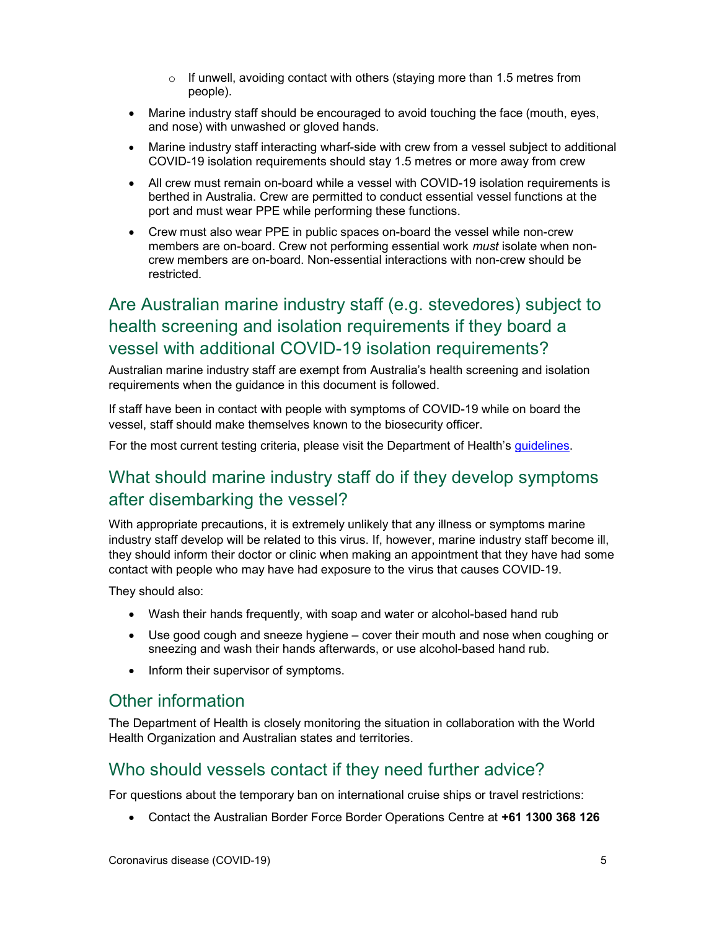- o If unwell, avoiding contact with others (staying more than 1.5 metres from people).
- Marine industry staff should be encouraged to avoid touching the face (mouth, eyes, and nose) with unwashed or gloved hands.
- Marine industry staff interacting wharf-side with crew from a vessel subject to additional COVID-19 isolation requirements should stay 1.5 metres or more away from crew
- All crew must remain on-board while a vessel with COVID-19 isolation requirements is berthed in Australia. Crew are permitted to conduct essential vessel functions at the port and must wear PPE while performing these functions.
- Crew must also wear PPE in public spaces on-board the vessel while non-crew members are on-board. Crew not performing essential work *must* isolate when noncrew members are on-board. Non-essential interactions with non-crew should be restricted.

### Are Australian marine industry staff (e.g. stevedores) subject to health screening and isolation requirements if they board a vessel with additional COVID-19 isolation requirements?

Australian marine industry staff are exempt from Australia's health screening and isolation requirements when the guidance in this document is followed.

If staff have been in contact with people with symptoms of COVID-19 while on board the vessel, staff should make themselves known to the biosecurity officer.

For the most current testing criteria, please visit the Department of Health's guidelines.

#### What should marine industry staff do if they develop symptoms after disembarking the vessel?

With appropriate precautions, it is extremely unlikely that any illness or symptoms marine industry staff develop will be related to this virus. If, however, marine industry staff become ill, they should inform their doctor or clinic when making an appointment that they have had some contact with people who may have had exposure to the virus that causes COVID-19.

They should also:

- Wash their hands frequently, with soap and water or alcohol-based hand rub
- Use good cough and sneeze hygiene cover their mouth and nose when coughing or sneezing and wash their hands afterwards, or use alcohol-based hand rub.
- Inform their supervisor of symptoms.

#### Other information

The Department of Health is closely monitoring the situation in collaboration with the World Health Organization and Australian states and territories.

#### Who should vessels contact if they need further advice?

For questions about the temporary ban on international cruise ships or travel restrictions:

Contact the Australian Border Force Border Operations Centre at +61 1300 368 126